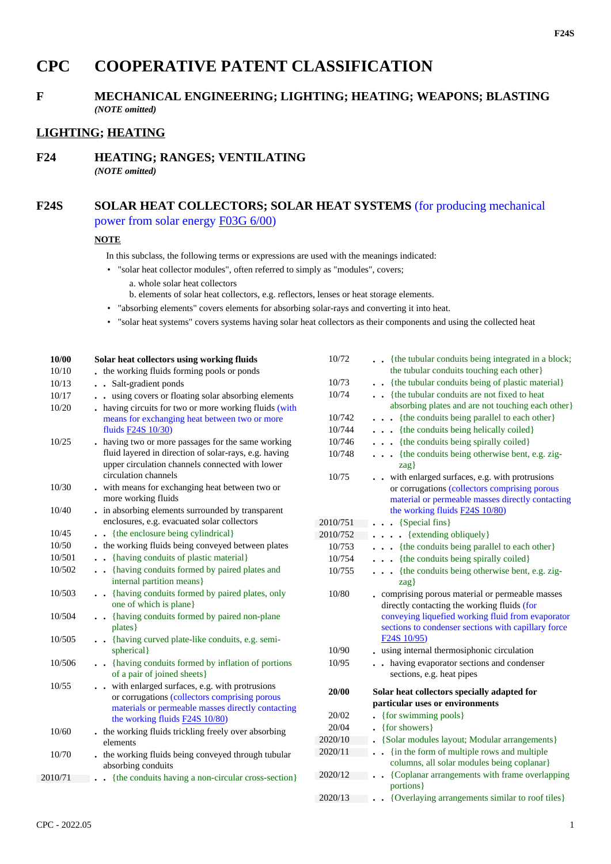# **CPC COOPERATIVE PATENT CLASSIFICATION**

# **F MECHANICAL ENGINEERING; LIGHTING; HEATING; WEAPONS; BLASTING** *(NOTE omitted)*

# **LIGHTING; HEATING**

**F24 HEATING; RANGES; VENTILATING** *(NOTE omitted)*

# **F24S SOLAR HEAT COLLECTORS; SOLAR HEAT SYSTEMS** (for producing mechanical power from solar energy F03G 6/00)

#### **NOTE**

- In this subclass, the following terms or expressions are used with the meanings indicated:
- "solar heat collector modules", often referred to simply as "modules", covers;
	- a. whole solar heat collectors
	- b. elements of solar heat collectors, e.g. reflectors, lenses or heat storage elements.
- "absorbing elements" covers elements for absorbing solar-rays and converting it into heat.
- "solar heat systems" covers systems having solar heat collectors as their components and using the collected heat

| 10/00   | Solar heat collectors using working fluids                                                                                                                                              |
|---------|-----------------------------------------------------------------------------------------------------------------------------------------------------------------------------------------|
| 10/10   | the working fluids forming pools or ponds                                                                                                                                               |
| 10/13   | • Salt-gradient ponds                                                                                                                                                                   |
| 10/17   | . using covers or floating solar absorbing elements                                                                                                                                     |
| 10/20   | having circuits for two or more working fluids (with<br>means for exchanging heat between two or more<br>fluids F24S 10/30)                                                             |
| 10/25   | having two or more passages for the same working<br>fluid layered in direction of solar-rays, e.g. having<br>upper circulation channels connected with lower<br>circulation channels    |
| 10/30   | . with means for exchanging heat between two or<br>more working fluids                                                                                                                  |
| 10/40   | . in absorbing elements surrounded by transparent<br>enclosures, e.g. evacuated solar collectors                                                                                        |
| 10/45   | {the enclosure being cylindrical}                                                                                                                                                       |
| 10/50   | the working fluids being conveyed between plates                                                                                                                                        |
| 10/501  | • {having conduits of plastic material}                                                                                                                                                 |
| 10/502  | . {having conduits formed by paired plates and<br>internal partition means}                                                                                                             |
| 10/503  | . {having conduits formed by paired plates, only<br>one of which is plane}                                                                                                              |
| 10/504  | • {having conduits formed by paired non-plane<br>plates }                                                                                                                               |
| 10/505  | • {having curved plate-like conduits, e.g. semi-<br>spherical }                                                                                                                         |
| 10/506  | • {having conduits formed by inflation of portions<br>of a pair of joined sheets}                                                                                                       |
| 10/55   | . with enlarged surfaces, e.g. with protrusions<br>or corrugations (collectors comprising porous<br>materials or permeable masses directly contacting<br>the working fluids F24S 10/80) |
| 10/60   | . the working fluids trickling freely over absorbing<br>elements                                                                                                                        |
| 10/70   | . the working fluids being conveyed through tubular<br>absorbing conduits                                                                                                               |
| 2010/71 | - {the conduits having a non-circular cross-section}                                                                                                                                    |

| 10/72    | {the tubular conduits being integrated in a block;<br>the tubular conduits touching each other}                                                                                                                                                   |
|----------|---------------------------------------------------------------------------------------------------------------------------------------------------------------------------------------------------------------------------------------------------|
| 10/73    | {the tubular conduits being of plastic material}                                                                                                                                                                                                  |
| 10/74    | {the tubular conduits are not fixed to heat                                                                                                                                                                                                       |
|          | absorbing plates and are not touching each other}                                                                                                                                                                                                 |
| 10/742   | {the conduits being parallel to each other}<br>$\ddot{\phantom{0}}$<br>$\bullet$                                                                                                                                                                  |
| 10/744   | {the conduits being helically coiled}<br>$\ddot{\phantom{0}}$                                                                                                                                                                                     |
| 10/746   | {the conduits being spirally coiled}<br>$\ddot{\phantom{0}}$                                                                                                                                                                                      |
| 10/748   | {the conduits being otherwise bent, e.g. zig-<br>$\ddot{\phantom{0}}$<br>$\{zag\}$                                                                                                                                                                |
| 10/75    | . with enlarged surfaces, e.g. with protrusions<br>or corrugations (collectors comprising porous<br>material or permeable masses directly contacting<br>the working fluids F24S 10/80)                                                            |
| 2010/751 | {Special fins}<br>$\sim$                                                                                                                                                                                                                          |
| 2010/752 | {extending obliquely}<br>$\ddot{\phantom{a}}$<br>$\ddot{\phantom{1}}$                                                                                                                                                                             |
| 10/753   | {the conduits being parallel to each other}<br>$\sim$                                                                                                                                                                                             |
| 10/754   | {the conduits being spirally coiled}<br>.                                                                                                                                                                                                         |
| 10/755   | {the conduits being otherwise bent, e.g. zig-<br>$\ddot{\phantom{0}}$<br>$\{zag\}$                                                                                                                                                                |
| 10/80    | comprising porous material or permeable masses<br>directly contacting the working fluids (for<br>conveying liquefied working fluid from evaporator<br>sections to condenser sections with capillary force<br>F <sub>24</sub> S <sub>10</sub> /95) |
| 10/90    | . using internal thermosiphonic circulation                                                                                                                                                                                                       |
| 10/95    | . having evaporator sections and condenser<br>sections, e.g. heat pipes                                                                                                                                                                           |
| 20/00    | Solar heat collectors specially adapted for                                                                                                                                                                                                       |
|          | particular uses or environments                                                                                                                                                                                                                   |
| 20/02    | {for swimming pools}                                                                                                                                                                                                                              |
| 20/04    | {for showers}                                                                                                                                                                                                                                     |
| 2020/10  | {Solar modules layout; Modular arrangements}                                                                                                                                                                                                      |
| 2020/11  | {in the form of multiple rows and multiple<br>$\ddot{\phantom{a}}$                                                                                                                                                                                |
|          | columns, all solar modules being coplanar}                                                                                                                                                                                                        |
| 2020/12  | {Coplanar arrangements with frame overlapping<br>$\bullet$<br>portions }                                                                                                                                                                          |
| 2020/13  | {Overlaying arrangements similar to roof tiles}                                                                                                                                                                                                   |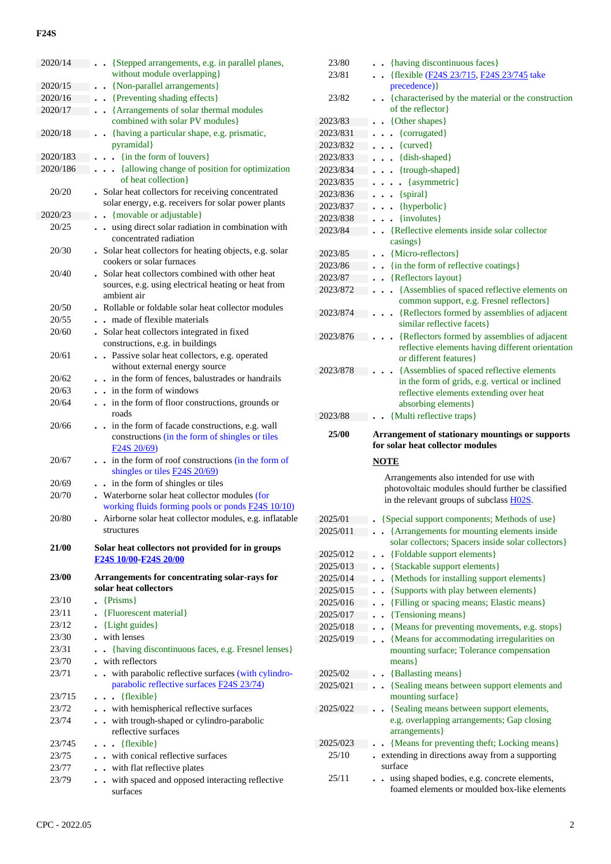## **F24S**

| 2020/14        | . . {Stepped arrangements, e.g. in parallel planes,                                                       |
|----------------|-----------------------------------------------------------------------------------------------------------|
|                | without module overlapping}                                                                               |
| 2020/15        | {Non-parallel arrangements}                                                                               |
| 2020/16        | . Preventing shading effects }                                                                            |
| 2020/17        | • • {Arrangements of solar thermal modules}<br>combined with solar PV modules}                            |
| 2020/18        | {having a particular shape, e.g. prismatic,<br>$\ddot{\phantom{0}}$                                       |
|                | pyramidal}                                                                                                |
| 2020/183       | {in the form of louvers}<br>$\ddot{\phantom{a}}$                                                          |
| 2020/186       | {allowing change of position for optimization                                                             |
|                | of heat collection}                                                                                       |
| 20/20          | . Solar heat collectors for receiving concentrated                                                        |
|                | solar energy, e.g. receivers for solar power plants                                                       |
| 2020/23        | {movable or adjustable}                                                                                   |
| 20/25          | . . using direct solar radiation in combination with<br>concentrated radiation                            |
| 20/30          | . Solar heat collectors for heating objects, e.g. solar                                                   |
|                | cookers or solar furnaces                                                                                 |
| 20/40          | . Solar heat collectors combined with other heat                                                          |
|                | sources, e.g. using electrical heating or heat from                                                       |
|                | ambient air                                                                                               |
| 20/50          | . Rollable or foldable solar heat collector modules                                                       |
| 20/55          | . . made of flexible materials                                                                            |
| 20/60          | . Solar heat collectors integrated in fixed                                                               |
|                | constructions, e.g. in buildings                                                                          |
| 20/61          | Passive solar heat collectors, e.g. operated<br>$\ddot{\phantom{a}}$                                      |
| 20/62          | without external energy source<br>in the form of fences, balustrades or handrails<br>$\ddot{\phantom{0}}$ |
| 20/63          | $\cdot$ in the form of windows                                                                            |
| 20/64          | in the form of floor constructions, grounds or                                                            |
|                | roads                                                                                                     |
| 20/66          | in the form of facade constructions, e.g. wall                                                            |
|                | constructions (in the form of shingles or tiles                                                           |
|                | F <sub>24</sub> S <sub>20</sub> /69)                                                                      |
| 20/67          | in the form of roof constructions (in the form of                                                         |
|                | shingles or tiles <b>F24S 20/69</b> )<br>in the form of shingles or tiles                                 |
| 20/69<br>20/70 | $\ddot{\phantom{0}}$<br>. Waterborne solar heat collector modules (for                                    |
|                | working fluids forming pools or ponds F24S 10/10)                                                         |
| 20/80          | Airborne solar heat collector modules, e.g. inflatable                                                    |
|                | structures                                                                                                |
| 21/00          | Solar heat collectors not provided for in groups                                                          |
|                |                                                                                                           |
|                | F24S 10/00 F24S 20/00                                                                                     |
|                |                                                                                                           |
| 23/00          | Arrangements for concentrating solar-rays for<br>solar heat collectors                                    |
| 23/10          |                                                                                                           |
| 23/11          | ${Prisms}$                                                                                                |
| 23/12          | {Fluorescent material}<br>$\blacksquare$ { Light guides }                                                 |
| 23/30          | . with lenses                                                                                             |
| 23/31          | {having discontinuous faces, e.g. Fresnel lenses}                                                         |
| 23/70          | . with reflectors                                                                                         |
| 23/71          | with parabolic reflective surfaces (with cylindro-                                                        |
|                | parabolic reflective surfaces <b>F24S 23/74</b> )                                                         |
| 23/715         | $\bullet$ {flexible}                                                                                      |
| 23/72          | . . with hemispherical reflective surfaces                                                                |
| 23/74          | . . with trough-shaped or cylindro-parabolic                                                              |
|                | reflective surfaces                                                                                       |
| 23/745         | $\ldots$ {flexible}                                                                                       |
| 23/75<br>23/77 | . . with conical reflective surfaces                                                                      |
| 23/79          | . . with flat reflective plates<br>. . with spaced and opposed interacting reflective                     |

| 23/80    | . {having discontinuous faces}                                                                                             |
|----------|----------------------------------------------------------------------------------------------------------------------------|
| 23/81    | {flexible (F24S 23/715, F24S 23/745 take<br>$\ddot{\phantom{0}}$                                                           |
|          | precedence) }                                                                                                              |
| 23/82    | • {characterised by the material or the construction<br>of the reflector}                                                  |
| 2023/83  | {Other shapes}                                                                                                             |
| 2023/831 | {corrugated}                                                                                                               |
| 2023/832 | ${curved}$<br>$\bullet$                                                                                                    |
| 2023/833 | {dish-shaped}<br>$\bullet$                                                                                                 |
| 2023/834 | {trough-shaped}<br>$\bullet$                                                                                               |
| 2023/835 | {asymmetric}<br>$\ddot{\phantom{a}}$<br>$\bullet$                                                                          |
| 2023/836 | {spiral}<br>$\ddot{\phantom{0}}$                                                                                           |
| 2023/837 | {hyperbolic}<br>$\ddot{\phantom{0}}$                                                                                       |
| 2023/838 | {involutes}                                                                                                                |
| 2023/84  | {Reflective elements inside solar collector<br>casings }                                                                   |
| 2023/85  | {Micro-reflectors}                                                                                                         |
| 2023/86  | {in the form of reflective coatings}                                                                                       |
| 2023/87  | {Reflectors layout}                                                                                                        |
| 2023/872 | {Assemblies of spaced reflective elements on<br>$\ddot{\phantom{0}}$                                                       |
| 2023/874 | common support, e.g. Fresnel reflectors}<br>{Reflectors formed by assemblies of adjacent                                   |
|          | similar reflective facets }                                                                                                |
| 2023/876 | {Reflectors formed by assemblies of adjacent<br>reflective elements having different orientation<br>or different features} |
| 2023/878 | {Assemblies of spaced reflective elements                                                                                  |
|          | in the form of grids, e.g. vertical or inclined                                                                            |
|          | reflective elements extending over heat                                                                                    |
|          | absorbing elements}                                                                                                        |
| 2023/88  | {Multi reflective traps}                                                                                                   |
|          |                                                                                                                            |
| 25/00    | Arrangement of stationary mountings or supports<br>for solar heat collector modules                                        |
|          |                                                                                                                            |
|          | <b>NOTE</b>                                                                                                                |
|          | Arrangements also intended for use with                                                                                    |
|          | photovoltaic modules should further be classified                                                                          |
|          | in the relevant groups of subclass H02S.                                                                                   |
| 2025/01  | {Special support components; Methods of use}                                                                               |
| 2025/011 | {Arrangements for mounting elements inside                                                                                 |
|          | solar collectors; Spacers inside solar collectors}                                                                         |
| 2025/012 | {Foldable support elements}                                                                                                |
| 2025/013 | {Stackable support elements}                                                                                               |
| 2025/014 | {Methods for installing support elements}                                                                                  |
| 2025/015 | {Supports with play between elements}                                                                                      |
| 2025/016 | {Filling or spacing means; Elastic means}                                                                                  |
| 2025/017 | {Tensioning means}                                                                                                         |
| 2025/018 | {Means for preventing movements, e.g. stops}<br>$\ddot{\phantom{0}}$                                                       |
| 2025/019 | $\overline{a}$                                                                                                             |
|          | {Means for accommodating irregularities on<br>mounting surface; Tolerance compensation<br>$means\}$                        |
| 2025/02  |                                                                                                                            |
| 2025/021 | {Ballasting means}                                                                                                         |
|          | {Sealing means between support elements and                                                                                |
|          | mounting surface}                                                                                                          |
| 2025/022 | {Sealing means between support elements,<br>e.g. overlapping arrangements; Gap closing<br>arrangements }                   |
| 2025/023 |                                                                                                                            |
| 25/10    | {Means for preventing theft; Locking means}                                                                                |
| 25/11    | extending in directions away from a supporting<br>surface<br>using shaped bodies, e.g. concrete elements,                  |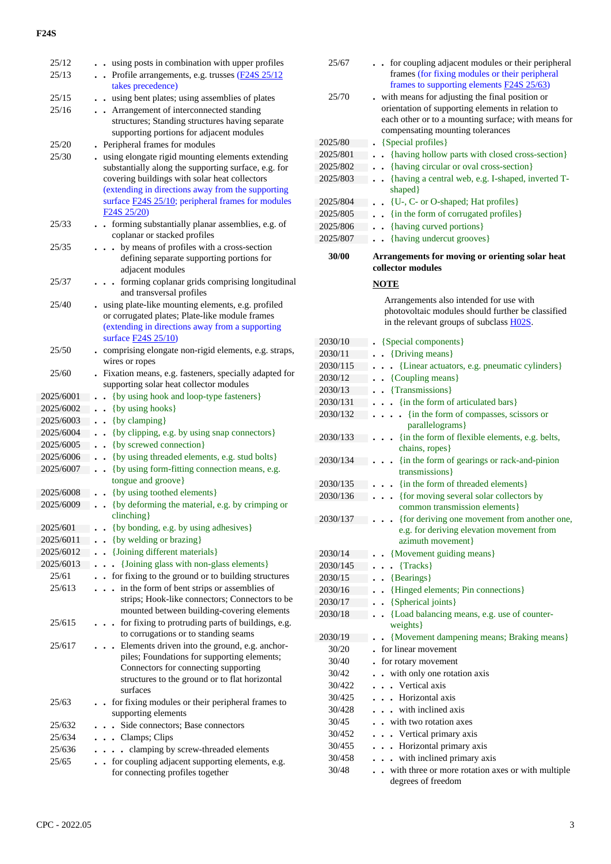### **F24S**

| 25/12     | using posts in combination with upper profiles                                                                                                    |
|-----------|---------------------------------------------------------------------------------------------------------------------------------------------------|
| 25/13     | Profile arrangements, e.g. trusses (F24S 25/12<br>takes precedence)                                                                               |
| 25/15     | using bent plates; using assemblies of plates                                                                                                     |
| 25/16     | Arrangement of interconnected standing                                                                                                            |
|           | structures; Standing structures having separate                                                                                                   |
|           | supporting portions for adjacent modules                                                                                                          |
| 25/20     | Peripheral frames for modules                                                                                                                     |
| 25/30     | using elongate rigid mounting elements extending                                                                                                  |
|           | substantially along the supporting surface, e.g. for<br>covering buildings with solar heat collectors                                             |
|           | (extending in directions away from the supporting<br>surface <b>F24S 25/10</b> ; peripheral frames for modules                                    |
|           | F <sub>24</sub> S <sub>25</sub> / <sub>20</sub> )                                                                                                 |
| 25/33     | • forming substantially planar assemblies, e.g. of<br>coplanar or stacked profiles                                                                |
| 25/35     | by means of profiles with a cross-section<br>defining separate supporting portions for<br>adjacent modules                                        |
| 25/37     | forming coplanar grids comprising longitudinal<br>and transversal profiles                                                                        |
| 25/40     | using plate-like mounting elements, e.g. profiled                                                                                                 |
|           | or corrugated plates; Plate-like module frames                                                                                                    |
|           | (extending in directions away from a supporting                                                                                                   |
|           | surface <b>F24S</b> 25/10)                                                                                                                        |
| 25/50     | comprising elongate non-rigid elements, e.g. straps,<br>wires or ropes                                                                            |
| 25/60     | Fixation means, e.g. fasteners, specially adapted for                                                                                             |
|           | supporting solar heat collector modules                                                                                                           |
| 2025/6001 | {by using hook and loop-type fasteners}                                                                                                           |
| 2025/6002 | {by using hooks}                                                                                                                                  |
| 2025/6003 | {by clamping}                                                                                                                                     |
| 2025/6004 | {by clipping, e.g. by using snap connectors}                                                                                                      |
| 2025/6005 | {by screwed connection}                                                                                                                           |
| 2025/6006 | {by using threaded elements, e.g. stud bolts}                                                                                                     |
| 2025/6007 | {by using form-fitting connection means, e.g.<br>$\ddot{\phantom{0}}$                                                                             |
|           | tongue and groove}                                                                                                                                |
| 2025/6008 | {by using toothed elements}                                                                                                                       |
| 2025/6009 | {by deforming the material, e.g. by crimping or                                                                                                   |
|           | clinching                                                                                                                                         |
| 2025/601  | {by bonding, e.g. by using adhesives}                                                                                                             |
| 2025/6011 | {by welding or brazing}                                                                                                                           |
| 2025/6012 | {Joining different materials}                                                                                                                     |
| 2025/6013 | {Joining glass with non-glass elements}                                                                                                           |
| 25/61     | for fixing to the ground or to building structures                                                                                                |
| 25/613    | in the form of bent strips or assemblies of                                                                                                       |
|           | strips; Hook-like connectors; Connectors to be<br>mounted between building-covering elements                                                      |
| 25/615    | . for fixing to protruding parts of buildings, e.g.                                                                                               |
|           | to corrugations or to standing seams                                                                                                              |
| 25/617    | Elements driven into the ground, e.g. anchor-                                                                                                     |
|           | piles; Foundations for supporting elements;<br>Connectors for connecting supporting<br>structures to the ground or to flat horizontal<br>surfaces |
| 25/63     | for fixing modules or their peripheral frames to<br>supporting elements                                                                           |
| 25/632    | Side connectors; Base connectors                                                                                                                  |
| 25/634    | . Clamps; Clips                                                                                                                                   |
| 25/636    | clamping by screw-threaded elements<br>$\ddot{\phantom{a}}$<br>$\ddot{\phantom{0}}$                                                               |
| 25/65     | for coupling adjacent supporting elements, e.g.<br>$\ddot{\phantom{0}}$                                                                           |
|           | for connecting profiles together                                                                                                                  |

| 25/67    | • for coupling adjacent modules or their peripheral<br>frames (for fixing modules or their peripheral<br>frames to supporting elements <b>F24S 25/63</b> )                                     |
|----------|------------------------------------------------------------------------------------------------------------------------------------------------------------------------------------------------|
| 25/70    | with means for adjusting the final position or<br>orientation of supporting elements in relation to<br>each other or to a mounting surface; with means for<br>compensating mounting tolerances |
| 2025/80  | {Special profiles}                                                                                                                                                                             |
| 2025/801 |                                                                                                                                                                                                |
| 2025/802 | {having hollow parts with closed cross-section}<br>{having circular or oval cross-section}                                                                                                     |
| 2025/803 |                                                                                                                                                                                                |
|          | {having a central web, e.g. I-shaped, inverted T-<br>shaped}                                                                                                                                   |
| 2025/804 | {U-, C- or O-shaped; Hat profiles}                                                                                                                                                             |
| 2025/805 | {in the form of corrugated profiles}                                                                                                                                                           |
| 2025/806 | {having curved portions}<br>$\ddot{\phantom{0}}$                                                                                                                                               |
| 2025/807 | {having undercut grooves}<br>$\ddot{\phantom{0}}$                                                                                                                                              |
| 30/00    | Arrangements for moving or orienting solar heat                                                                                                                                                |
|          | collector modules                                                                                                                                                                              |
|          | <b>NOTE</b>                                                                                                                                                                                    |
|          | Arrangements also intended for use with                                                                                                                                                        |
|          | photovoltaic modules should further be classified                                                                                                                                              |
|          | in the relevant groups of subclass H02S.                                                                                                                                                       |
| 2030/10  | {Special components}                                                                                                                                                                           |
| 2030/11  | {Driving means}                                                                                                                                                                                |
| 2030/115 | {Linear actuators, e.g. pneumatic cylinders}                                                                                                                                                   |
| 2030/12  | {Coupling means}<br>$\bullet$                                                                                                                                                                  |
| 2030/13  | {Transmissions}                                                                                                                                                                                |
| 2030/131 | {in the form of articulated bars}                                                                                                                                                              |
| 2030/132 | {in the form of compasses, scissors or                                                                                                                                                         |
|          | parallelograms}                                                                                                                                                                                |
| 2030/133 | {in the form of flexible elements, e.g. belts,                                                                                                                                                 |
|          | chains, ropes}                                                                                                                                                                                 |
| 2030/134 | {in the form of gearings or rack-and-pinion                                                                                                                                                    |
|          | transmissions}                                                                                                                                                                                 |
| 2030/135 | {in the form of threaded elements}                                                                                                                                                             |
| 2030/136 | {for moving several solar collectors by                                                                                                                                                        |
|          | common transmission elements}                                                                                                                                                                  |
| 2030/137 | {for deriving one movement from another one,<br>e.g. for deriving elevation movement from                                                                                                      |
|          | azimuth movement}                                                                                                                                                                              |
| 2030/14  | {Movement guiding means}                                                                                                                                                                       |
| 2030/145 | {Tracks}                                                                                                                                                                                       |
| 2030/15  | {Bearings}<br>$\ddot{\phantom{0}}$                                                                                                                                                             |
| 2030/16  | {Hinged elements; Pin connections}                                                                                                                                                             |
| 2030/17  | {Spherical joints}                                                                                                                                                                             |
| 2030/18  | {Load balancing means, e.g. use of counter-<br>$\ddot{\phantom{a}}$                                                                                                                            |
|          | weights }                                                                                                                                                                                      |
| 2030/19  | {Movement dampening means; Braking means}                                                                                                                                                      |
| 30/20    | for linear movement                                                                                                                                                                            |
| 30/40    | for rotary movement                                                                                                                                                                            |
| 30/42    | with only one rotation axis                                                                                                                                                                    |
| 30/422   | Vertical axis<br>$\ddot{\phantom{0}}$                                                                                                                                                          |
| 30/425   | • Horizontal axis                                                                                                                                                                              |
| 30/428   | with inclined axis                                                                                                                                                                             |
| 30/45    | with two rotation axes                                                                                                                                                                         |
| 30/452   | . Vertical primary axis                                                                                                                                                                        |
| 30/455   | . Horizontal primary axis                                                                                                                                                                      |
| 30/458   | with inclined primary axis                                                                                                                                                                     |
| 30/48    | with three or more rotation axes or with multiple                                                                                                                                              |
|          | degrees of freedom                                                                                                                                                                             |